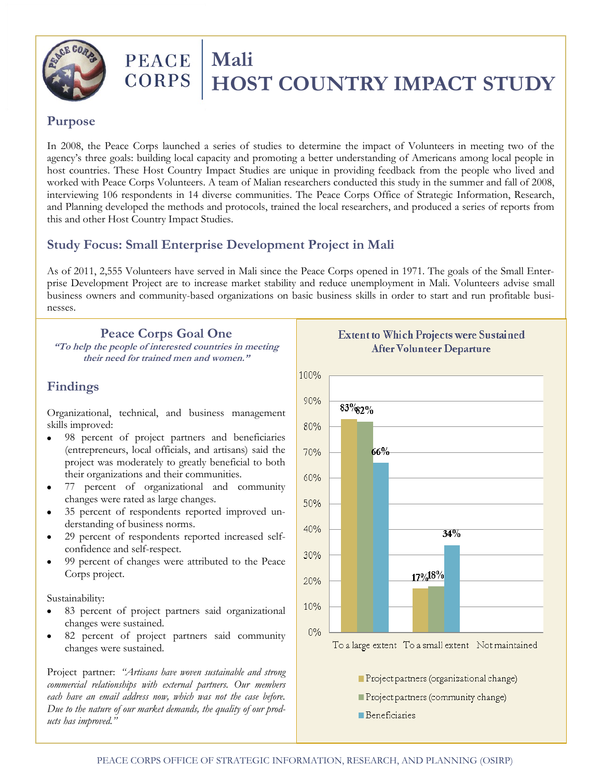

# **PEACE** Mali<br>CORPS HOS  **HOST COUNTRY IMPACT STUDY**

#### **Purpose**

In 2008, the Peace Corps launched a series of studies to determine the impact of Volunteers in meeting two of the agency's three goals: building local capacity and promoting a better understanding of Americans among local people in host countries. These Host Country Impact Studies are unique in providing feedback from the people who lived and worked with Peace Corps Volunteers. A team of Malian researchers conducted this study in the summer and fall of 2008, interviewing 106 respondents in 14 diverse communities. The Peace Corps Office of Strategic Information, Research, and Planning developed the methods and protocols, trained the local researchers, and produced a series of reports from this and other Host Country Impact Studies.

## **Study Focus: Small Enterprise Development Project in Mali**

As of 2011, 2,555 Volunteers have served in Mali since the Peace Corps opened in 1971. The goals of the Small Enterprise Development Project are to increase market stability and reduce unemployment in Mali. Volunteers advise small business owners and community-based organizations on basic business skills in order to start and run profitable businesses.

### **Peace Corps Goal One**

**"To help the people of interested countries in meeting their need for trained men and women."**

## **Findings**

Organizational, technical, and business management skills improved:

- 98 percent of project partners and beneficiaries (entrepreneurs, local officials, and artisans) said the project was moderately to greatly beneficial to both their organizations and their communities.
- 77 percent of organizational and community changes were rated as large changes.
- 35 percent of respondents reported improved understanding of business norms.
- 29 percent of respondents reported increased selfconfidence and self-respect.
- 99 percent of changes were attributed to the Peace Corps project.

Sustainability:

- 83 percent of project partners said organizational changes were sustained.
- 82 percent of project partners said community changes were sustained.

Project partner: *"Artisans have woven sustainable and strong commercial relationships with external partners. Our members each have an email address now, which was not the case before. Due to the nature of our market demands, the quality of our products has improved."*

**Extent to Which Projects were Sustained After Volunteer Departure** 100% 90%  $83\%2\%$ 80% 66% 70% 60% 50% 40%  $34%$ 30% 17%18% 20% 10%  $0%$ To a large extent To a small extent Not maintained Project partners (organizational change) Project partners (community change)

**Beneficiaries**